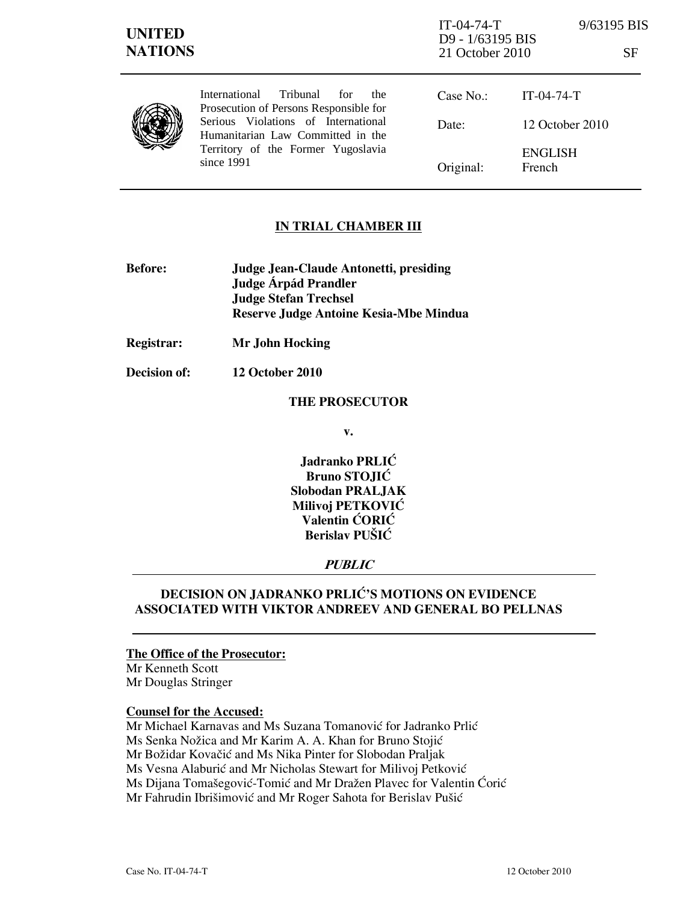| <b>UNITED</b><br><b>NATIONS</b> |                                                                                                                                                                                                                     | $IT-04-74-T$<br>D9 - 1/63195 BIS<br>21 October 2010 | 9/63195 BIS              | SF |
|---------------------------------|---------------------------------------------------------------------------------------------------------------------------------------------------------------------------------------------------------------------|-----------------------------------------------------|--------------------------|----|
|                                 | Tribunal<br>International<br>for<br>the<br>Prosecution of Persons Responsible for<br>Serious Violations of International<br>Humanitarian Law Committed in the<br>Territory of the Former Yugoslavia<br>since $1991$ | Case No.                                            | $IT-04-74-T$             |    |
|                                 |                                                                                                                                                                                                                     | Date:                                               | 12 October 2010          |    |
|                                 |                                                                                                                                                                                                                     | Original:                                           | <b>ENGLISH</b><br>French |    |

## IN TRIAL CHAMBER III

- Before: Judge Jean-Claude Antonetti, presiding Judge **Árpád Prandler**  Judge Stefan Trechsel Reserve Judge Antoine Kesia-Mbe Mindua
- Registrar: Mr John Hocking
- Decision of: 12 October 2010

#### THE PROSECUTOR

v.

Jadranko PRLIĆ Bruno STOJIĆ Slobodan PRALJAK Milivoj PETKOVIĆ Valentin ĆORIĆ Berislav PUŠIĆ

## PUBLIC

# DECISION ON JADRANKO PRLIĆ'S MOTIONS ON EVIDENCE ASSOCIATED WITH VIKTOR ANDREEV AND GENERAL BO PELLNAS

## The Office of the Prosecutor:

Mr Kenneth Scott Mr Douglas Stringer

#### Counsel for the Accused:

Mr Michael Karnavas and Ms Suzana Tomanović for Jadranko Prlić Ms Senka Nožica and Mr Karim A. A. Khan for Bruno Stojić Mr Božidar Kovačić and Ms Nika Pinter for Slobodan Praljak Ms Vesna Alaburić and Mr Nicholas Stewart for Milivoj Petković Ms Dijana Tomašegović-Tomić and Mr Dražen Plavec for Valentin Ćorić Mr Fahrudin Ibrišimović and Mr Roger Sahota for Berislav Pušić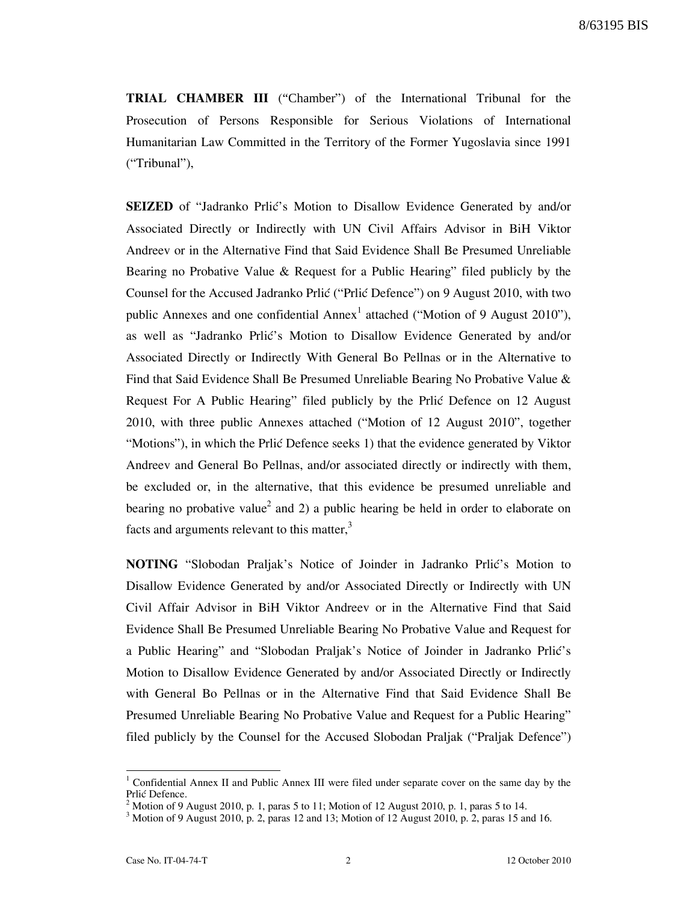8/63195 BIS

TRIAL CHAMBER III ("Chamber") of the International Tribunal for the Prosecution of Persons Responsible for Serious Violations of International Humanitarian Law Committed in the Territory of the Former Yugoslavia since 1991 ("Tribunal"),

SEIZED of "Jadranko Prlić's Motion to Disallow Evidence Generated by and/or Associated Directly or Indirectly with UN Civil Affairs Advisor in BiH Viktor Andreev or in the Alternative Find that Said Evidence Shall Be Presumed Unreliable Bearing no Probative Value & Request for a Public Hearing" filed publicly by the Counsel for the Accused Jadranko Prlić ("Prlić Defence") on 9 August 2010, with two public Annexes and one confidential  $\text{Annex}^1$  attached ("Motion of 9 August 2010"), as well as "Jadranko Prlić's Motion to Disallow Evidence Generated by and/or Associated Directly or Indirectly With General Bo Pellnas or in the Alternative to Find that Said Evidence Shall Be Presumed Unreliable Bearing No Probative Value & Request For A Public Hearing" filed publicly by the Prlic Defence on 12 August 2010, with three public Annexes attached ("Motion of 12 August 2010", together "Motions"), in which the Prlić Defence seeks 1) that the evidence generated by Viktor Andreev and General Bo Pellnas, and/or associated directly or indirectly with them, be excluded or, in the alternative, that this evidence be presumed unreliable and bearing no probative value<sup>2</sup> and 2) a public hearing be held in order to elaborate on facts and arguments relevant to this matter, $3$ 

**NOTING** "Slobodan Praljak's Notice of Joinder in Jadranko Prlić's Motion to Disallow Evidence Generated by and/or Associated Directly or Indirectly with UN Civil Affair Advisor in BiH Viktor Andreev or in the Alternative Find that Said Evidence Shall Be Presumed Unreliable Bearing No Probative Value and Request for a Public Hearing" and "Slobodan Praljak's Notice of Joinder in Jadranko Prlić's Motion to Disallow Evidence Generated by and/or Associated Directly or Indirectly with General Bo Pellnas or in the Alternative Find that Said Evidence Shall Be Presumed Unreliable Bearing No Probative Value and Request for a Public Hearing" filed publicly by the Counsel for the Accused Slobodan Praljak ("Praljak Defence")

<sup>&</sup>lt;sup>1</sup> Confidential Annex II and Public Annex III were filed under separate cover on the same day by the Prlić Defence.

<sup>2</sup> Motion of 9 August 2010, p. 1, paras 5 to 11; Motion of 12 August 2010, p. 1, paras 5 to 14.

 $3 \text{ Motion of 9 August 2010, p. 2, paras 12 and 13; Motion of 12 August 2010, p. 2, paras 15 and 16.}$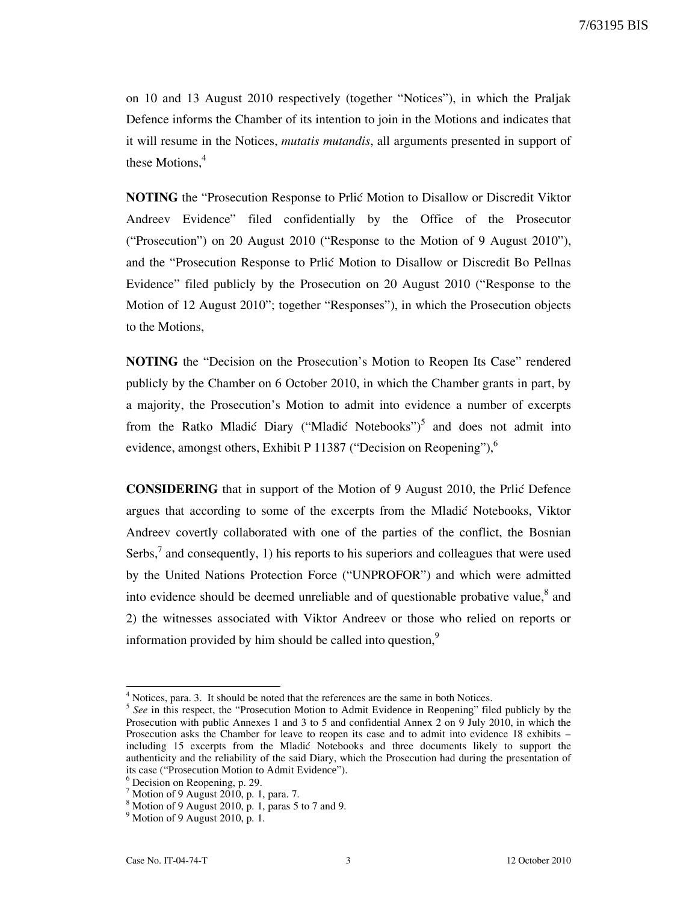on 10 and 13 August 2010 respectively (together "Notices"), in which the Praljak Defence informs the Chamber of its intention to join in the Motions and indicates that it will resume in the Notices, mutatis mutandis, all arguments presented in support of these Motions.<sup>4</sup>

**NOTING** the "Prosecution Response to Prlić Motion to Disallow or Discredit Viktor Andreev Evidence" filed confidentially by the Office of the Prosecutor ("Prosecution") on 20 August 2010 ("Response to the Motion of 9 August 2010"), and the "Prosecution Response to Prlić Motion to Disallow or Discredit Bo Pellnas Evidence" filed publicly by the Prosecution on 20 August 2010 ("Response to the Motion of 12 August 2010"; together "Responses"), in which the Prosecution objects to the Motions,

NOTING the "Decision on the Prosecution's Motion to Reopen Its Case" rendered publicly by the Chamber on 6 October 2010, in which the Chamber grants in part, by a majority, the Prosecution's Motion to admit into evidence a number of excerpts from the Ratko Mladić Diary ("Mladić Notebooks")<sup>5</sup> and does not admit into evidence, amongst others, Exhibit P 11387 ("Decision on Reopening"), $<sup>6</sup>$ </sup>

CONSIDERING that in support of the Motion of 9 August 2010, the Prli} Defence argues that according to some of the excerpts from the Mladić Notebooks, Viktor Andreev covertly collaborated with one of the parties of the conflict, the Bosnian Serbs,<sup>7</sup> and consequently, 1) his reports to his superiors and colleagues that were used by the United Nations Protection Force ("UNPROFOR") and which were admitted into evidence should be deemed unreliable and of questionable probative value, $^8$  and 2) the witnesses associated with Viktor Andreev or those who relied on reports or information provided by him should be called into question,<sup>9</sup>

<sup>&</sup>lt;sup>4</sup> Notices, para. 3. It should be noted that the references are the same in both Notices.

<sup>&</sup>lt;sup>5</sup> See in this respect, the "Prosecution Motion to Admit Evidence in Reopening" filed publicly by the Prosecution with public Annexes 1 and 3 to 5 and confidential Annex 2 on 9 July 2010, in which the Prosecution asks the Chamber for leave to reopen its case and to admit into evidence 18 exhibits – including 15 excerpts from the Mladić Notebooks and three documents likely to support the authenticity and the reliability of the said Diary, which the Prosecution had during the presentation of its case ("Prosecution Motion to Admit Evidence").

<sup>6</sup> Decision on Reopening, p. 29.

 $^7$  Motion of 9 August 2010, p. 1, para. 7.

<sup>8</sup> Motion of 9 August 2010, p. 1, paras 5 to 7 and 9.

<sup>9</sup> Motion of 9 August 2010, p. 1.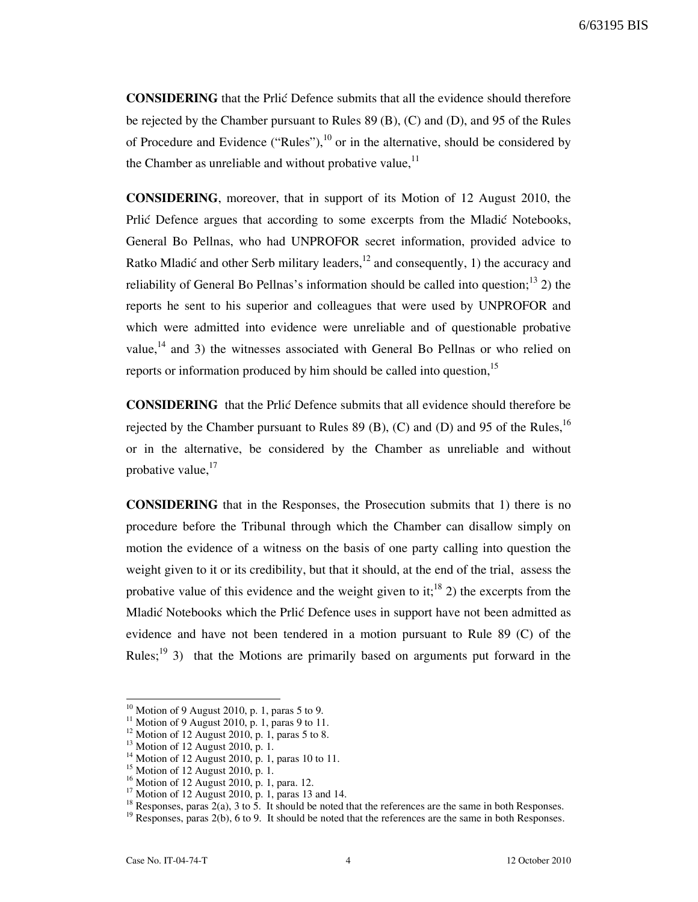CONSIDERING that the Prlić Defence submits that all the evidence should therefore be rejected by the Chamber pursuant to Rules 89 (B), (C) and (D), and 95 of the Rules of Procedure and Evidence ("Rules"),  $^{10}$  or in the alternative, should be considered by the Chamber as unreliable and without probative value,  $11$ 

CONSIDERING, moreover, that in support of its Motion of 12 August 2010, the Prlić Defence argues that according to some excerpts from the Mladić Notebooks, General Bo Pellnas, who had UNPROFOR secret information, provided advice to Ratko Mladić and other Serb military leaders,  $^{12}$  and consequently, 1) the accuracy and reliability of General Bo Pellnas's information should be called into question;<sup>13</sup> 2) the reports he sent to his superior and colleagues that were used by UNPROFOR and which were admitted into evidence were unreliable and of questionable probative value,<sup>14</sup> and 3) the witnesses associated with General Bo Pellnas or who relied on reports or information produced by him should be called into question, $15$ 

**CONSIDERING** that the Prlić Defence submits that all evidence should therefore be rejected by the Chamber pursuant to Rules 89 (B), (C) and (D) and 95 of the Rules,<sup>16</sup> or in the alternative, be considered by the Chamber as unreliable and without probative value, $17$ 

CONSIDERING that in the Responses, the Prosecution submits that 1) there is no procedure before the Tribunal through which the Chamber can disallow simply on motion the evidence of a witness on the basis of one party calling into question the weight given to it or its credibility, but that it should, at the end of the trial, assess the probative value of this evidence and the weight given to it;<sup>18</sup> 2) the excerpts from the Mladić Notebooks which the Prlić Defence uses in support have not been admitted as evidence and have not been tendered in a motion pursuant to Rule 89 (C) of the Rules;<sup>19</sup> 3) that the Motions are primarily based on arguments put forward in the

 $10$  Motion of 9 August 2010, p. 1, paras 5 to 9.

<sup>&</sup>lt;sup>11</sup> Motion of 9 August 2010, p. 1, paras 9 to 11.

 $12$  Motion of 12 August 2010, p. 1, paras 5 to 8.

<sup>&</sup>lt;sup>13</sup> Motion of 12 August 2010, p. 1.

<sup>&</sup>lt;sup>14</sup> Motion of 12 August 2010, p. 1, paras 10 to 11.

 $15$  Motion of 12 August 2010, p. 1.

<sup>16</sup> Motion of 12 August 2010, p. 1, para. 12.

<sup>&</sup>lt;sup>17</sup> Motion of 12 August 2010, p. 1, paras 13 and 14.

<sup>&</sup>lt;sup>18</sup> Responses, paras  $2(a)$ , 3 to 5. It should be noted that the references are the same in both Responses.

<sup>&</sup>lt;sup>19</sup> Responses, paras  $2(b)$ , 6 to 9. It should be noted that the references are the same in both Responses.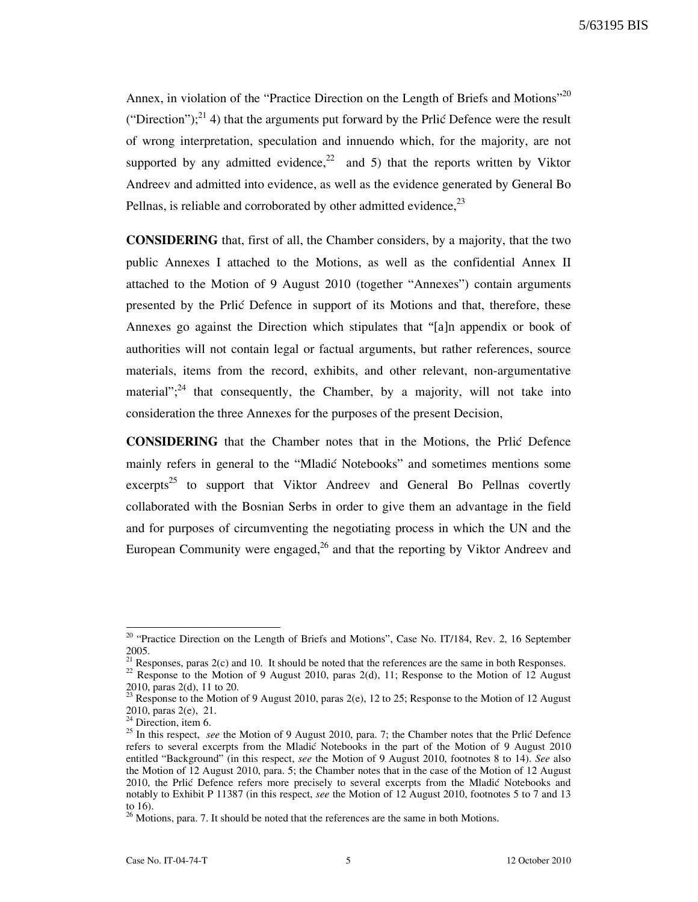5/63195 BIS

Annex, in violation of the "Practice Direction on the Length of Briefs and Motions"<sup>20</sup> ("Direction");<sup>21</sup> 4) that the arguments put forward by the Prlić Defence were the result of wrong interpretation, speculation and innuendo which, for the majority, are not supported by any admitted evidence,<sup>22</sup> and 5) that the reports written by Viktor Andreev and admitted into evidence, as well as the evidence generated by General Bo Pellnas, is reliable and corroborated by other admitted evidence,  $^{23}$ 

CONSIDERING that, first of all, the Chamber considers, by a majority, that the two public Annexes I attached to the Motions, as well as the confidential Annex II attached to the Motion of 9 August 2010 (together "Annexes") contain arguments presented by the Prlić Defence in support of its Motions and that, therefore, these Annexes go against the Direction which stipulates that "[a]n appendix or book of authorities will not contain legal or factual arguments, but rather references, source materials, items from the record, exhibits, and other relevant, non-argumentative material";<sup>24</sup> that consequently, the Chamber, by a majority, will not take into consideration the three Annexes for the purposes of the present Decision,

CONSIDERING that the Chamber notes that in the Motions, the Prli} Defence mainly refers in general to the "Mladić Notebooks" and sometimes mentions some excerpts<sup>25</sup> to support that Viktor Andreev and General Bo Pellnas covertly collaborated with the Bosnian Serbs in order to give them an advantage in the field and for purposes of circumventing the negotiating process in which the UN and the European Community were engaged, $^{26}$  and that the reporting by Viktor Andreev and

<sup>&</sup>lt;sup>20</sup> "Practice Direction on the Length of Briefs and Motions", Case No. IT/184, Rev. 2, 16 September 2005.

<sup>&</sup>lt;sup>21</sup> Responses, paras  $2(c)$  and 10. It should be noted that the references are the same in both Responses.

 $22$  Response to the Motion of 9 August 2010, paras 2(d), 11; Response to the Motion of 12 August 2010, paras 2(d), 11 to 20.

<sup>&</sup>lt;sup>23</sup> Response to the Motion of 9 August 2010, paras 2(e), 12 to 25; Response to the Motion of 12 August  $^{23}$  Response to the Motion of 12 August 2010, paras 2(e), 21.

 $24$  Direction, item 6.

<sup>&</sup>lt;sup>25</sup> In this respect, see the Motion of 9 August 2010, para. 7; the Chamber notes that the Prlić Defence refers to several excerpts from the Mladić Notebooks in the part of the Motion of 9 August 2010 entitled "Background" (in this respect, see the Motion of 9 August 2010, footnotes 8 to 14). See also the Motion of 12 August 2010, para. 5; the Chamber notes that in the case of the Motion of 12 August 2010, the Prlić Defence refers more precisely to several excerpts from the Mladić Notebooks and notably to Exhibit P 11387 (in this respect, see the Motion of 12 August 2010, footnotes 5 to 7 and 13 to 16).

 $26$  Motions, para. 7. It should be noted that the references are the same in both Motions.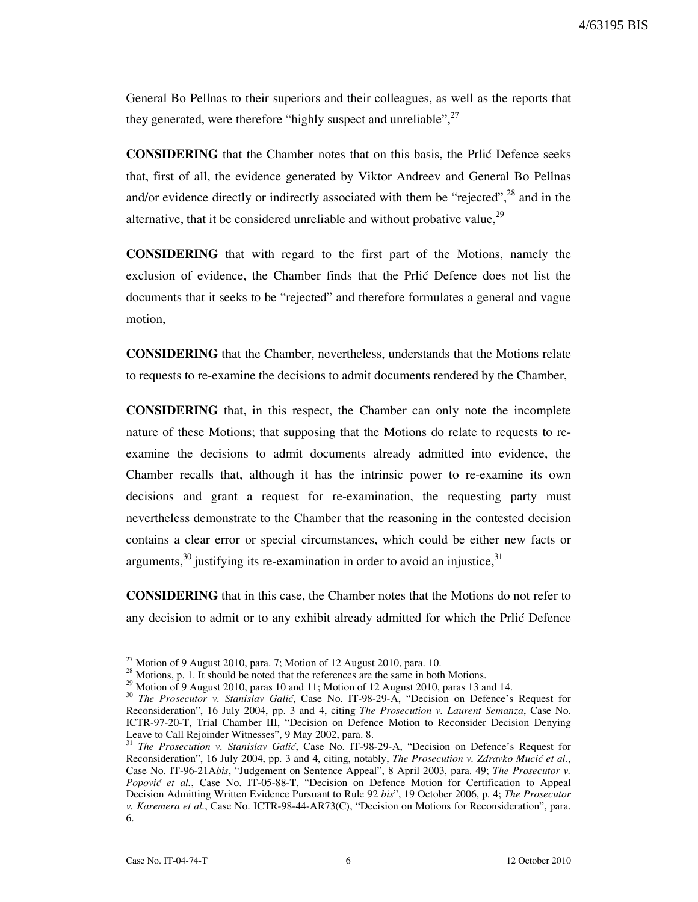4/63195 BIS

General Bo Pellnas to their superiors and their colleagues, as well as the reports that they generated, were therefore "highly suspect and unreliable".<sup>27</sup>

**CONSIDERING** that the Chamber notes that on this basis, the Prlić Defence seeks that, first of all, the evidence generated by Viktor Andreev and General Bo Pellnas and/or evidence directly or indirectly associated with them be "rejected", $^{28}$  and in the alternative, that it be considered unreliable and without probative value, $^{29}$ 

CONSIDERING that with regard to the first part of the Motions, namely the exclusion of evidence, the Chamber finds that the Prlić Defence does not list the documents that it seeks to be "rejected" and therefore formulates a general and vague motion,

CONSIDERING that the Chamber, nevertheless, understands that the Motions relate to requests to re-examine the decisions to admit documents rendered by the Chamber,

CONSIDERING that, in this respect, the Chamber can only note the incomplete nature of these Motions; that supposing that the Motions do relate to requests to reexamine the decisions to admit documents already admitted into evidence, the Chamber recalls that, although it has the intrinsic power to re-examine its own decisions and grant a request for re-examination, the requesting party must nevertheless demonstrate to the Chamber that the reasoning in the contested decision contains a clear error or special circumstances, which could be either new facts or arguments,  $30$  justifying its re-examination in order to avoid an injustice,  $31$ 

CONSIDERING that in this case, the Chamber notes that the Motions do not refer to any decision to admit or to any exhibit already admitted for which the Prlić Defence

 $^{27}$  Motion of 9 August 2010, para. 7; Motion of 12 August 2010, para. 10.

<sup>&</sup>lt;sup>28</sup> Motions, p. 1. It should be noted that the references are the same in both Motions.

<sup>&</sup>lt;sup>29</sup> Motion of 9 August 2010, paras 10 and 11; Motion of 12 August 2010, paras 13 and 14.

<sup>&</sup>lt;sup>30</sup> The Prosecutor v. Stanislav Galić, Case No. IT-98-29-A, "Decision on Defence's Request for Reconsideration", 16 July 2004, pp. 3 and 4, citing The Prosecution v. Laurent Semanza, Case No. ICTR-97-20-T, Trial Chamber III, "Decision on Defence Motion to Reconsider Decision Denying Leave to Call Rejoinder Witnesses", 9 May 2002, para. 8.

<sup>&</sup>lt;sup>31</sup> The Prosecution v. Stanislav Galić, Case No. IT-98-29-A, "Decision on Defence's Request for Reconsideration", 16 July 2004, pp. 3 and 4, citing, notably, The Prosecution v. Zdravko Mucić et al., Case No. IT-96-21Abis, "Judgement on Sentence Appeal", 8 April 2003, para. 49; The Prosecutor v. Popović et al., Case No. IT-05-88-T, "Decision on Defence Motion for Certification to Appeal Decision Admitting Written Evidence Pursuant to Rule 92 bis", 19 October 2006, p. 4; The Prosecutor v. Karemera et al., Case No. ICTR-98-44-AR73(C), "Decision on Motions for Reconsideration", para. 6.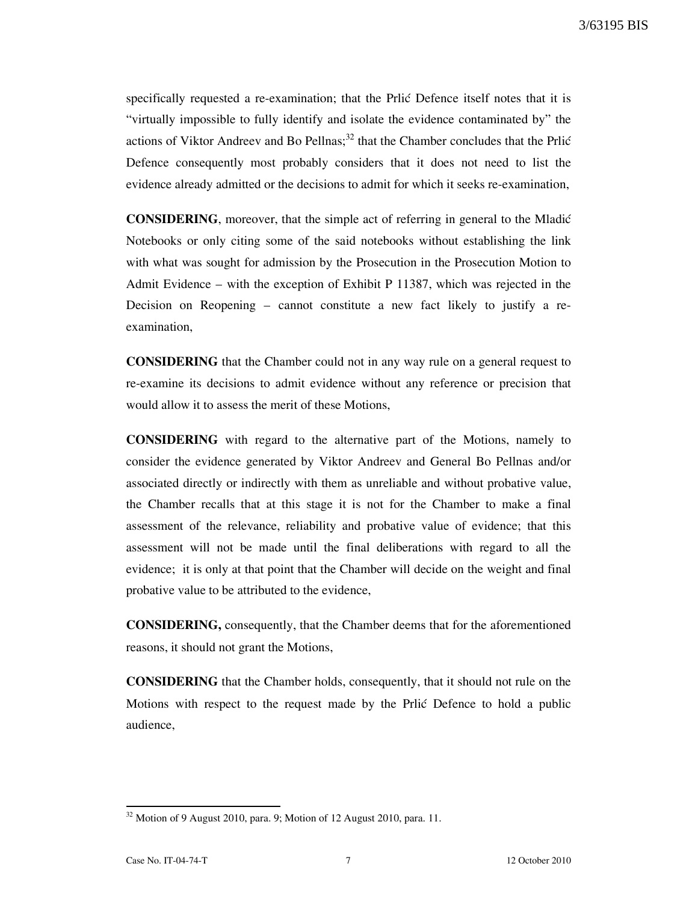specifically requested a re-examination; that the Prlić Defence itself notes that it is "virtually impossible to fully identify and isolate the evidence contaminated by" the actions of Viktor Andreev and Bo Pellnas;<sup>32</sup> that the Chamber concludes that the Prlić Defence consequently most probably considers that it does not need to list the evidence already admitted or the decisions to admit for which it seeks re-examination,

CONSIDERING, moreover, that the simple act of referring in general to the Mladi} Notebooks or only citing some of the said notebooks without establishing the link with what was sought for admission by the Prosecution in the Prosecution Motion to Admit Evidence – with the exception of Exhibit P 11387, which was rejected in the Decision on Reopening – cannot constitute a new fact likely to justify a reexamination,

CONSIDERING that the Chamber could not in any way rule on a general request to re-examine its decisions to admit evidence without any reference or precision that would allow it to assess the merit of these Motions,

CONSIDERING with regard to the alternative part of the Motions, namely to consider the evidence generated by Viktor Andreev and General Bo Pellnas and/or associated directly or indirectly with them as unreliable and without probative value, the Chamber recalls that at this stage it is not for the Chamber to make a final assessment of the relevance, reliability and probative value of evidence; that this assessment will not be made until the final deliberations with regard to all the evidence; it is only at that point that the Chamber will decide on the weight and final probative value to be attributed to the evidence,

CONSIDERING, consequently, that the Chamber deems that for the aforementioned reasons, it should not grant the Motions,

CONSIDERING that the Chamber holds, consequently, that it should not rule on the Motions with respect to the request made by the Prlic Defence to hold a public audience,

 $32$  Motion of 9 August 2010, para. 9; Motion of 12 August 2010, para. 11.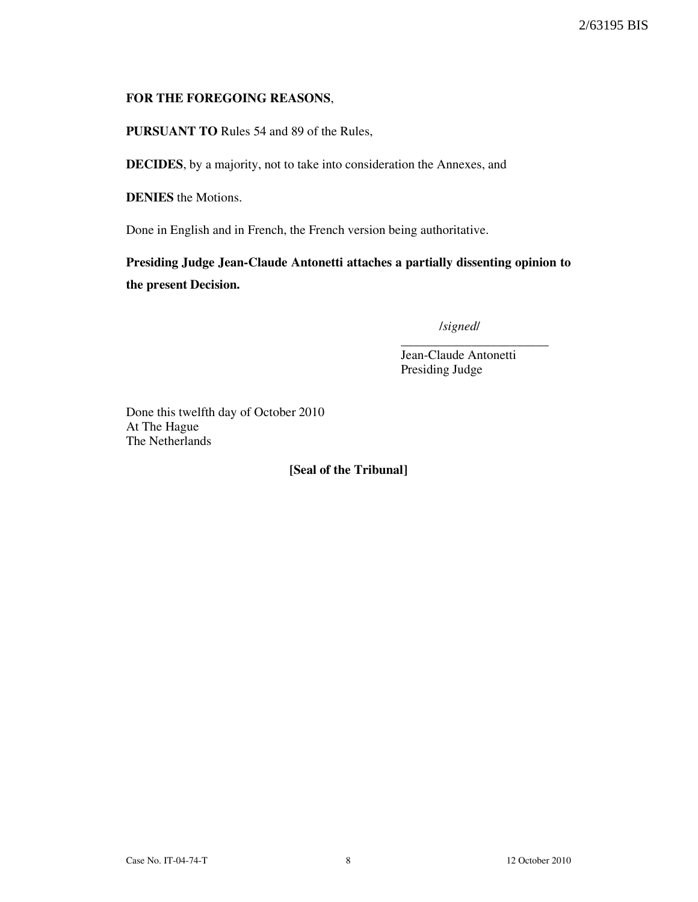#### FOR THE FOREGOING REASONS,

PURSUANT TO Rules 54 and 89 of the Rules,

DECIDES, by a majority, not to take into consideration the Annexes, and

DENIES the Motions.

Done in English and in French, the French version being authoritative.

Presiding Judge Jean-Claude Antonetti attaches a partially dissenting opinion to the present Decision.

/signed/

\_\_\_\_\_\_\_\_\_\_\_\_\_\_\_\_\_\_\_\_\_\_\_ Jean-Claude Antonetti Presiding Judge

Done this twelfth day of October 2010 At The Hague The Netherlands

[Seal of the Tribunal]